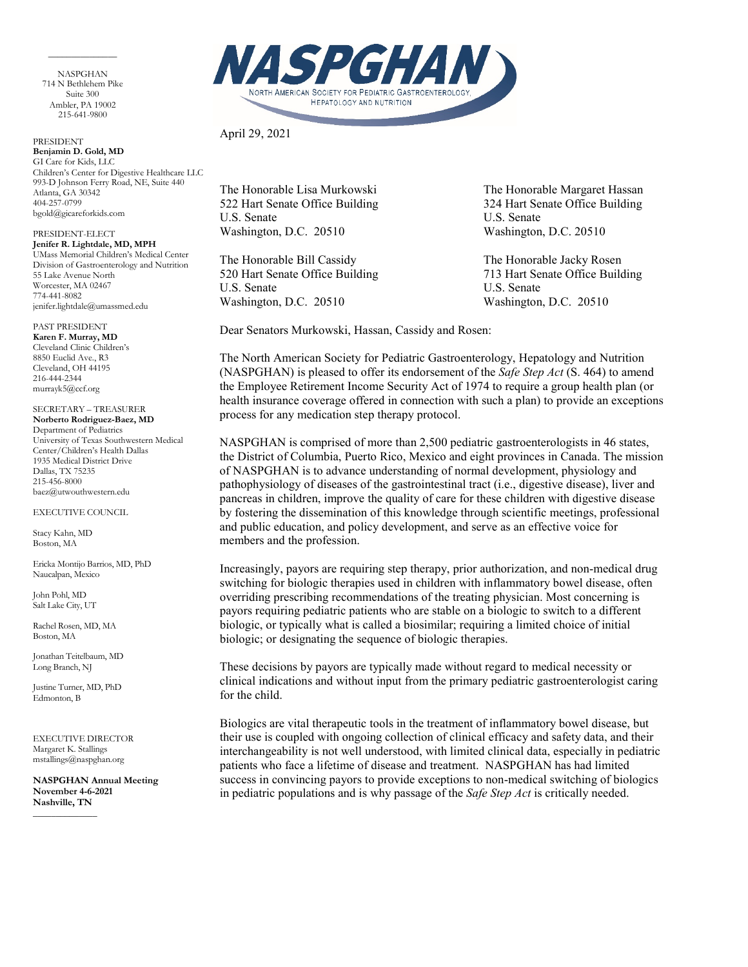NASPGHAN 714 N Bethlehem Pike Suite 300 Ambler, PA 19002 215-641-9800

 $\overline{\phantom{a}}$  . The contract of the contract of  $\overline{\phantom{a}}$ 

PRESIDENT **Benjamin D. Gold, MD** GI Care for Kids, LLC Children's Center for Digestive Healthcare LLC 993-D Johnson Ferry Road, NE, Suite 440 Atlanta, GA 30342 404-257-0799 bgold@gicareforkids.com

PRESIDENT-ELECT **Jenifer R. Lightdale, MD, MPH** UMass Memorial Children's Medical Center Division of Gastroenterology and Nutrition 55 Lake Avenue North Worcester, MA 02467 774-441-8082 jenifer.lightdale@umassmed.edu

PAST PRESIDENT **Karen F. Murray, MD** Cleveland Clinic Children's 8850 Euclid Ave., R3 Cleveland, OH 44195 216-444-2344 murrayk5@ccf.org

SECRETARY – TREASURER **Norberto Rodriguez-Baez, MD** Department of Pediatrics University of Texas Southwestern Medical Center/Children's Health Dallas 1935 Medical District Drive Dallas, TX 75235 215-456-8000 baez@utwouthwestern.edu

EXECUTIVE COUNCIL

Stacy Kahn, MD Boston, MA

Ericka Montijo Barrios, MD, PhD Naucalpan, Mexico

John Pohl, MD Salt Lake City, UT

Rachel Rosen, MD, MA Boston, MA

Jonathan Teitelbaum, MD Long Branch, NJ

Justine Turner, MD, PhD Edmonton, B

EXECUTIVE DIRECTOR Margaret K. Stallings mstallings@naspghan.org

 $\overline{\phantom{a}}$ 

**NASPGHAN Annual Meeting November 4-6-2021 Nashville, TN**

PGHAN NORTH AMERICAN SOCIETY FOR PEDIATRIC GASTROENTEROLOGY, **HEPATOLOGY AND NUTRITION** 

April 29, 2021

U.S. Senate U.S. Senate Washington, D.C. 20510 Washington, D.C. 20510

The Honorable Bill Cassidy The Honorable Jacky Rosen 520 Hart Senate Office Building 713 Hart Senate Office Building U.S. Senate U.S. Senate Washington, D.C. 20510 Washington, D.C. 20510

The Honorable Lisa Murkowski The Honorable Margaret Hassan 522 Hart Senate Office Building 324 Hart Senate Office Building

Dear Senators Murkowski, Hassan, Cassidy and Rosen:

The North American Society for Pediatric Gastroenterology, Hepatology and Nutrition (NASPGHAN) is pleased to offer its endorsement of the *Safe Step Act* (S. 464) to amend the Employee Retirement Income Security Act of 1974 to require a group health plan (or health insurance coverage offered in connection with such a plan) to provide an exceptions process for any medication step therapy protocol.

NASPGHAN is comprised of more than 2,500 pediatric gastroenterologists in 46 states, the District of Columbia, Puerto Rico, Mexico and eight provinces in Canada. The mission of NASPGHAN is to advance understanding of normal development, physiology and pathophysiology of diseases of the gastrointestinal tract (i.e., digestive disease), liver and pancreas in children, improve the quality of care for these children with digestive disease by fostering the dissemination of this knowledge through scientific meetings, professional and public education, and policy development, and serve as an effective voice for members and the profession.

Increasingly, payors are requiring step therapy, prior authorization, and non-medical drug switching for biologic therapies used in children with inflammatory bowel disease, often overriding prescribing recommendations of the treating physician. Most concerning is payors requiring pediatric patients who are stable on a biologic to switch to a different biologic, or typically what is called a biosimilar; requiring a limited choice of initial biologic; or designating the sequence of biologic therapies.

These decisions by payors are typically made without regard to medical necessity or clinical indications and without input from the primary pediatric gastroenterologist caring for the child.

Biologics are vital therapeutic tools in the treatment of inflammatory bowel disease, but their use is coupled with ongoing collection of clinical efficacy and safety data, and their interchangeability is not well understood, with limited clinical data, especially in pediatric patients who face a lifetime of disease and treatment. NASPGHAN has had limited success in convincing payors to provide exceptions to non-medical switching of biologics in pediatric populations and is why passage of the *Safe Step Act* is critically needed.